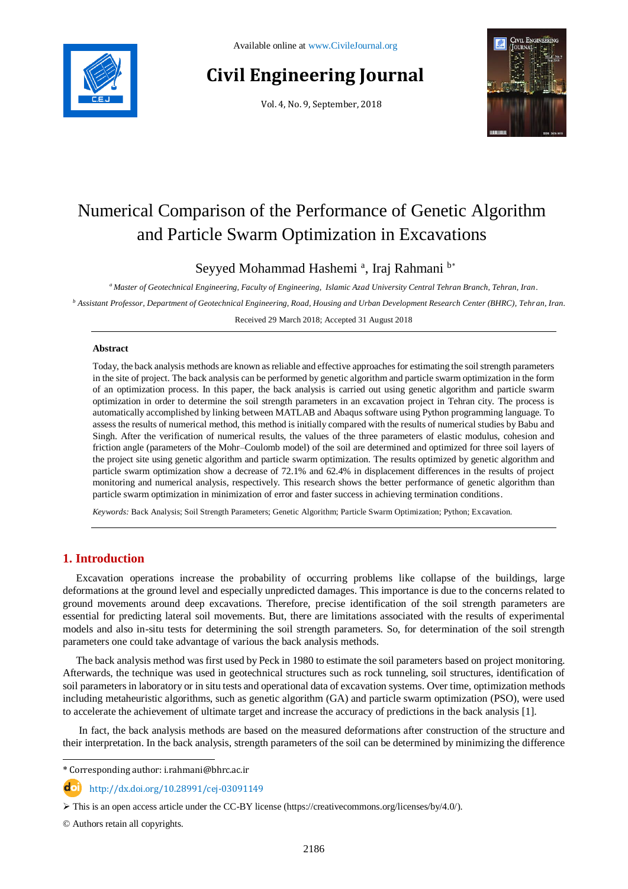

# **Civil Engineering Journal**

Vol. 4, No. 9, September, 2018



# Numerical Comparison of the Performance of Genetic Algorithm and Particle Swarm Optimization in Excavations

Seyyed Mohammad Hashemi<sup>a</sup>, Iraj Rahmani<sup>b\*</sup>

*<sup>a</sup> Master of Geotechnical Engineering, Faculty of Engineering, Islamic Azad University Central Tehran Branch, Tehran, Iran.*

*<sup>b</sup> Assistant Professor, Department of Geotechnical Engineering, Road, Housing and Urban Development Research Center (BHRC), Tehran, Iran.*

Received 29 March 2018; Accepted 31 August 2018

#### **Abstract**

Today, the back analysis methods are known as reliable and effective approaches for estimating the soil strength parameters in the site of project. The back analysis can be performed by genetic algorithm and particle swarm optimization in the form of an optimization process. In this paper, the back analysis is carried out using genetic algorithm and particle swarm optimization in order to determine the soil strength parameters in an excavation project in Tehran city. The process is automatically accomplished by linking between MATLAB and Abaqus software using Python programming language. To assess the results of numerical method, this method is initially compared with the results of numerical studies by Babu and Singh. After the verification of numerical results, the values of the three parameters of elastic modulus, cohesion and friction angle (parameters of the Mohr–Coulomb model) of the soil are determined and optimized for three soil layers of the project site using genetic algorithm and particle swarm optimization. The results optimized by genetic algorithm and particle swarm optimization show a decrease of 72.1% and 62.4% in displacement differences in the results of project monitoring and numerical analysis, respectively. This research shows the better performance of genetic algorithm than particle swarm optimization in minimization of error and faster success in achieving termination conditions.

*Keywords:* Back Analysis; Soil Strength Parameters; Genetic Algorithm; Particle Swarm Optimization; Python; Excavation.

# **1. Introduction**

Excavation operations increase the probability of occurring problems like collapse of the buildings, large deformations at the ground level and especially unpredicted damages. This importance is due to the concerns related to ground movements around deep excavations. Therefore, precise identification of the soil strength parameters are essential for predicting lateral soil movements. But, there are limitations associated with the results of experimental models and also in-situ tests for determining the soil strength parameters. So, for determination of the soil strength parameters one could take advantage of various the back analysis methods.

The back analysis method was first used by Peck in 1980 to estimate the soil parameters based on project monitoring. Afterwards, the technique was used in geotechnical structures such as rock tunneling, soil structures, identification of soil parameters in laboratory or in situ tests and operational data of excavation systems. Over time, optimization methods including metaheuristic algorithms, such as genetic algorithm (GA) and particle swarm optimization (PSO), were used to accelerate the achievement of ultimate target and increase the accuracy of predictions in the back analysis [1].

In fact, the back analysis methods are based on the measured deformations after construction of the structure and their interpretation. In the back analysis, strength parameters of the soil can be determined by minimizing the difference

© Authors retain all copyrights.

l \* Corresponding author: i.rahmani@bhrc.ac.ir

http://dx.doi.org/10.28991/cej-03091149

 $\triangleright$  This is an open access article under the CC-BY license [\(https://creativecommons.org/licenses/by/4.0/\)](https://creativecommons.org/licenses/by/4.0/).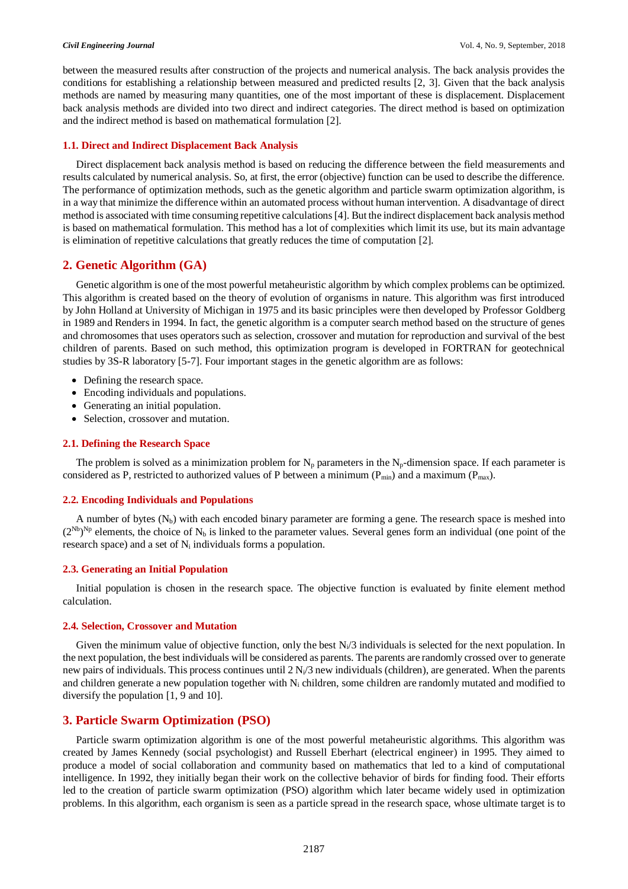between the measured results after construction of the projects and numerical analysis. The back analysis provides the conditions for establishing a relationship between measured and predicted results [2, 3]. Given that the back analysis methods are named by measuring many quantities, one of the most important of these is displacement. Displacement back analysis methods are divided into two direct and indirect categories. The direct method is based on optimization and the indirect method is based on mathematical formulation [2].

### **1.1. Direct and Indirect Displacement Back Analysis**

Direct displacement back analysis method is based on reducing the difference between the field measurements and results calculated by numerical analysis. So, at first, the error (objective) function can be used to describe the difference. The performance of optimization methods, such as the genetic algorithm and particle swarm optimization algorithm, is in a way that minimize the difference within an automated process without human intervention. A disadvantage of direct method is associated with time consuming repetitive calculations [4]. But the indirect displacement back analysis method is based on mathematical formulation. This method has a lot of complexities which limit its use, but its main advantage is elimination of repetitive calculations that greatly reduces the time of computation [2].

# **2. Genetic Algorithm (GA)**

Genetic algorithm is one of the most powerful metaheuristic algorithm by which complex problems can be optimized. This algorithm is created based on the theory of evolution of organisms in nature. This algorithm was first introduced by John Holland at University of Michigan in 1975 and its basic principles were then developed by Professor Goldberg in 1989 and Renders in 1994. In fact, the genetic algorithm is a computer search method based on the structure of genes and chromosomes that uses operators such as selection, crossover and mutation for reproduction and survival of the best children of parents. Based on such method, this optimization program is developed in FORTRAN for geotechnical studies by 3S-R laboratory [5-7]. Four important stages in the genetic algorithm are as follows:

- Defining the research space.
- Encoding individuals and populations.
- Generating an initial population.
- Selection, crossover and mutation.

#### **2.1. Defining the Research Space**

The problem is solved as a minimization problem for  $N_p$  parameters in the  $N_p$ -dimension space. If each parameter is considered as P, restricted to authorized values of P between a minimum ( $P_{min}$ ) and a maximum ( $P_{max}$ ).

#### **2.2. Encoding Individuals and Populations**

A number of bytes  $(N_b)$  with each encoded binary parameter are forming a gene. The research space is meshed into  $(2^{Nb})^{Np}$  elements, the choice of N<sub>b</sub> is linked to the parameter values. Several genes form an individual (one point of the research space) and a set of  $N_i$  individuals forms a population.

#### **2.3. Generating an Initial Population**

Initial population is chosen in the research space. The objective function is evaluated by finite element method calculation.

#### **2.4. Selection, Crossover and Mutation**

Given the minimum value of objective function, only the best  $N_i/3$  individuals is selected for the next population. In the next population, the best individuals will be considered as parents. The parents are randomly crossed over to generate new pairs of individuals. This process continues until  $2 N_i/3$  new individuals (children), are generated. When the parents and children generate a new population together with  $N_i$  children, some children are randomly mutated and modified to diversify the population [1, 9 and 10].

# **3. Particle Swarm Optimization (PSO)**

Particle swarm optimization algorithm is one of the most powerful metaheuristic algorithms. This algorithm was created by James Kennedy (social psychologist) and Russell Eberhart (electrical engineer) in 1995. They aimed to produce a model of social collaboration and community based on mathematics that led to a kind of computational intelligence. In 1992, they initially began their work on the collective behavior of birds for finding food. Their efforts led to the creation of particle swarm optimization (PSO) algorithm which later became widely used in optimization problems. In this algorithm, each organism is seen as a particle spread in the research space, whose ultimate target is to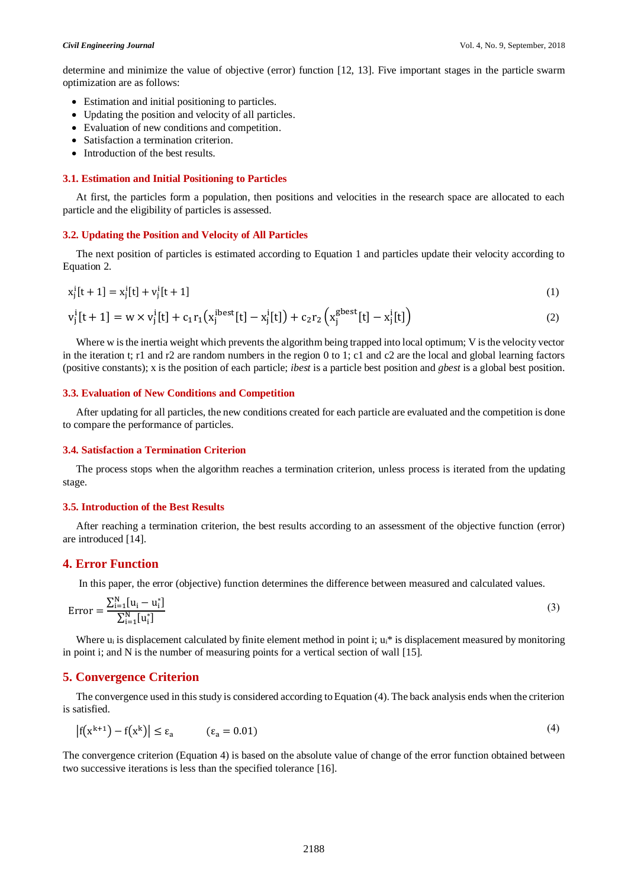determine and minimize the value of objective (error) function [12, 13]. Five important stages in the particle swarm optimization are as follows:

- Estimation and initial positioning to particles.
- Updating the position and velocity of all particles.
- Evaluation of new conditions and competition.
- Satisfaction a termination criterion.
- Introduction of the best results.

#### **3.1. Estimation and Initial Positioning to Particles**

At first, the particles form a population, then positions and velocities in the research space are allocated to each particle and the eligibility of particles is assessed.

#### **3.2. Updating the Position and Velocity of All Particles**

The next position of particles is estimated according to Equation 1 and particles update their velocity according to Equation 2.

$$
x_j^i[t+1] = x_j^i[t] + v_j^i[t+1]
$$
 (1)

$$
v_j^i[t+1] = w \times v_j^i[t] + c_1 r_1 (x_j^{ibest}[t] - x_j^i[t]) + c_2 r_2 (x_j^{gbest}[t] - x_j^i[t])
$$
\n(2)

Where w is the inertia weight which prevents the algorithm being trapped into local optimum; V is the velocity vector in the iteration t; r1 and r2 are random numbers in the region 0 to 1; c1 and c2 are the local and global learning factors (positive constants); x is the position of each particle; *ibest* is a particle best position and *gbest* is a global best position.

#### **3.3. Evaluation of New Conditions and Competition**

After updating for all particles, the new conditions created for each particle are evaluated and the competition is done to compare the performance of particles.

#### **3.4. Satisfaction a Termination Criterion**

The process stops when the algorithm reaches a termination criterion, unless process is iterated from the updating stage.

#### **3.5. Introduction of the Best Results**

After reaching a termination criterion, the best results according to an assessment of the objective function (error) are introduced [14].

### **4. Error Function**

In this paper, the error (objective) function determines the difference between measured and calculated values.

Error = 
$$
\frac{\sum_{i=1}^{N} [u_i - u_i^*]}{\sum_{i=1}^{N} [u_i^*]}
$$
 (3)

Where  $u_i$  is displacement calculated by finite element method in point i;  $u_i^*$  is displacement measured by monitoring in point i; and N is the number of measuring points for a vertical section of wall [15].

## **5. Convergence Criterion**

The convergence used in this study is considered according to Equation (4). The back analysis ends when the criterion is satisfied.

$$
|f(x^{k+1}) - f(x^k)| \le \varepsilon_a \qquad (\varepsilon_a = 0.01)
$$
 (4)

The convergence criterion (Equation 4) is based on the absolute value of change of the error function obtained between two successive iterations is less than the specified tolerance [16].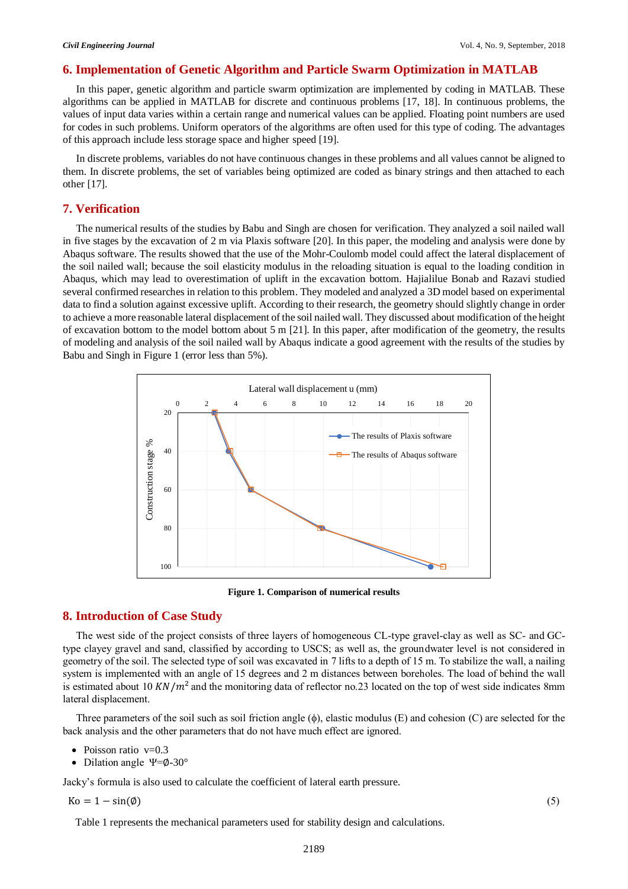# **6. Implementation of Genetic Algorithm and Particle Swarm Optimization in MATLAB**

In this paper, genetic algorithm and particle swarm optimization are implemented by coding in MATLAB. These algorithms can be applied in MATLAB for discrete and continuous problems [17, 18]. In continuous problems, the values of input data varies within a certain range and numerical values can be applied. Floating point numbers are used for codes in such problems. Uniform operators of the algorithms are often used for this type of coding. The advantages of this approach include less storage space and higher speed [19].

In discrete problems, variables do not have continuous changes in these problems and all values cannot be aligned to them. In discrete problems, the set of variables being optimized are coded as binary strings and then attached to each other [17].

# **7. Verification**

The numerical results of the studies by Babu and Singh are chosen for verification. They analyzed a soil nailed wall in five stages by the excavation of 2 m via Plaxis software [20]. In this paper, the modeling and analysis were done by Abaqus software. The results showed that the use of the Mohr-Coulomb model could affect the lateral displacement of the soil nailed wall; because the soil elasticity modulus in the reloading situation is equal to the loading condition in Abaqus, which may lead to overestimation of uplift in the excavation bottom. Hajialilue Bonab and Razavi studied several confirmed researches in relation to this problem. They modeled and analyzed a 3D model based on experimental data to find a solution against excessive uplift. According to their research, the geometry should slightly change in order to achieve a more reasonable lateral displacement of the soil nailed wall. They discussed about modification of the height of excavation bottom to the model bottom about 5 m [21]. In this paper, after modification of the geometry, the results of modeling and analysis of the soil nailed wall by Abaqus indicate a good agreement with the results of the studies by Babu and Singh in Figure 1 (error less than 5%).



**Figure 1. Comparison of numerical results**

# **8. Introduction of Case Study**

The west side of the project consists of three layers of homogeneous CL-type gravel-clay as well as SC- and GCtype clayey gravel and sand, classified by according to USCS; as well as, the groundwater level is not considered in geometry of the soil. The selected type of soil was excavated in 7 lifts to a depth of 15 m. To stabilize the wall, a nailing system is implemented with an angle of 15 degrees and 2 m distances between boreholes. The load of behind the wall is estimated about 10 KN/ $m<sup>2</sup>$  and the monitoring data of reflector no.23 located on the top of west side indicates 8mm lateral displacement.

Three parameters of the soil such as soil friction angle  $(\phi)$ , elastic modulus (E) and cohesion (C) are selected for the back analysis and the other parameters that do not have much effect are ignored.

- Poisson ratio  $v=0.3$
- Dilation angle  $\Psi = \phi 30^\circ$

Jacky's formula is also used to calculate the coefficient of lateral earth pressure.

 $Ko = 1 - sin(\emptyset)$  (5)

Table 1 represents the mechanical parameters used for stability design and calculations.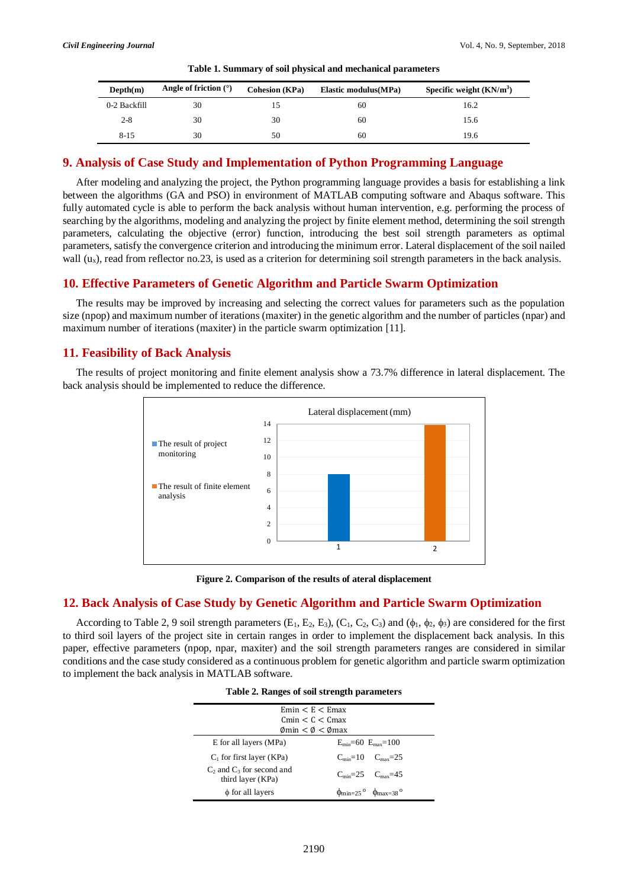| Depth(m)     | Angle of friction $(°)$ | <b>Cohesion (KPa)</b> | Elastic modulus (MPa) | Specific weight $(KN/m3)$ |
|--------------|-------------------------|-----------------------|-----------------------|---------------------------|
| 0-2 Backfill | 30                      |                       | 60                    | 16.2                      |
| $2 - 8$      | 30                      | 30                    | 60                    | 15.6                      |
| $8 - 15$     | 30                      | 50                    | 60                    | 19.6                      |

| Table 1. Summary of soil physical and mechanical parameters |
|-------------------------------------------------------------|
|-------------------------------------------------------------|

### **9. Analysis of Case Study and Implementation of Python Programming Language**

After modeling and analyzing the project, the Python programming language provides a basis for establishing a link between the algorithms (GA and PSO) in environment of MATLAB computing software and Abaqus software. This fully automated cycle is able to perform the back analysis without human intervention, e.g. performing the process of searching by the algorithms, modeling and analyzing the project by finite element method, determining the soil strength parameters, calculating the objective (error) function, introducing the best soil strength parameters as optimal parameters, satisfy the convergence criterion and introducing the minimum error. Lateral displacement of the soil nailed wall  $(u_x)$ , read from reflector no.23, is used as a criterion for determining soil strength parameters in the back analysis.

### **10. Effective Parameters of Genetic Algorithm and Particle Swarm Optimization**

The results may be improved by increasing and selecting the correct values for parameters such as the population size (npop) and maximum number of iterations (maxiter) in the genetic algorithm and the number of particles (npar) and maximum number of iterations (maxiter) in the particle swarm optimization [11].

# **11. Feasibility of Back Analysis**

The results of project monitoring and finite element analysis show a 73.7% difference in lateral displacement. The back analysis should be implemented to reduce the difference.



**Figure 2. Comparison of the results of ateral displacement** 

#### **12. Back Analysis of Case Study by Genetic Algorithm and Particle Swarm Optimization**

According to Table 2, 9 soil strength parameters  $(E_1, E_2, E_3)$ ,  $(C_1, C_2, C_3)$  and  $(\phi_1, \phi_2, \phi_3)$  are considered for the first to third soil layers of the project site in certain ranges in order to implement the displacement back analysis. In this paper, effective parameters (npop, npar, maxiter) and the soil strength parameters ranges are considered in similar conditions and the case study considered as a continuous problem for genetic algorithm and particle swarm optimization to implement the back analysis in MATLAB software.

| Table 2. Ranges of soil strength parameters         |                                                                         |  |  |  |  |  |  |  |
|-----------------------------------------------------|-------------------------------------------------------------------------|--|--|--|--|--|--|--|
| Emin < E < Emarctanes                               |                                                                         |  |  |  |  |  |  |  |
| Cmin < C < Cmax                                     |                                                                         |  |  |  |  |  |  |  |
| $\phi$ min < $\phi$ < $\phi$ max                    |                                                                         |  |  |  |  |  |  |  |
| E for all layers (MPa)                              | $E_{\text{min}} = 60$ $E_{\text{max}} = 100$                            |  |  |  |  |  |  |  |
| $C_1$ for first layer (KPa)                         | $C_{\text{min}} = 10$ $C_{\text{max}} = 25$                             |  |  |  |  |  |  |  |
| $C_2$ and $C_3$ for second and<br>third layer (KPa) | $C_{\text{min}} = 25$ $C_{\text{max}} = 45$                             |  |  |  |  |  |  |  |
| $\phi$ for all layers                               | $\phi_{\text{min}=25}$ <sup>o</sup> $\phi_{\text{max}=38}$ <sup>o</sup> |  |  |  |  |  |  |  |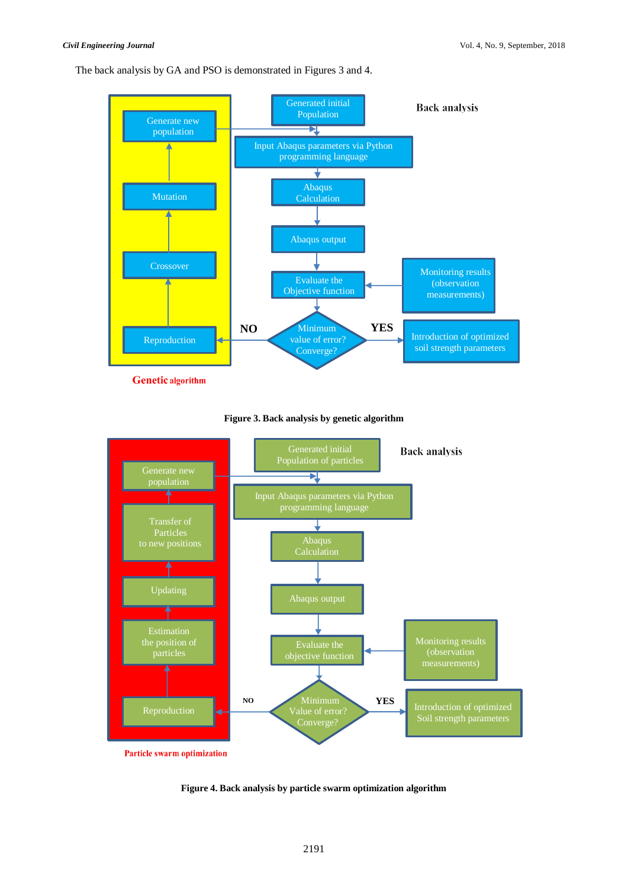The back analysis by GA and PSO is demonstrated in Figures 3 and 4.



**Genetic** algorithm



**Figure 3. Back analysis by genetic algorithm**

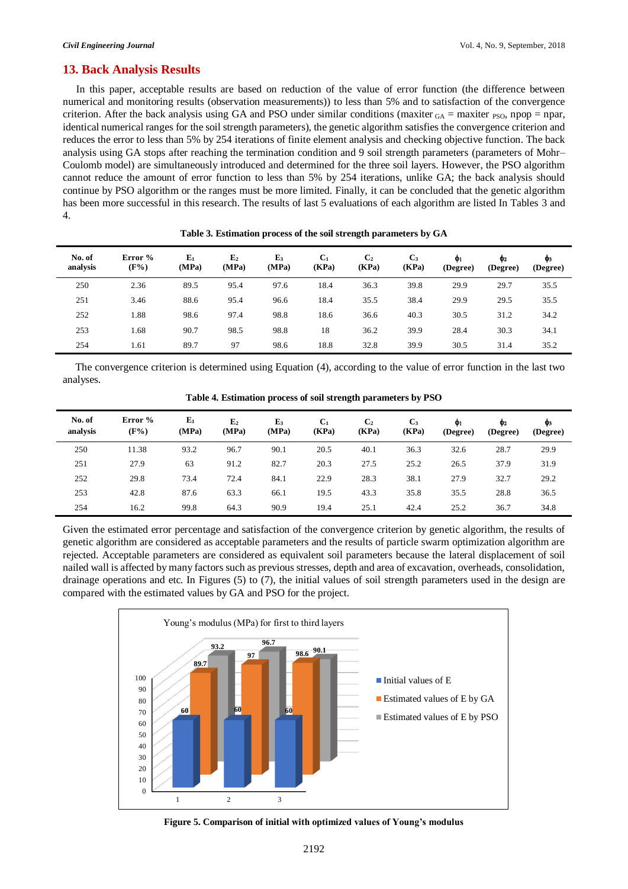## **13. Back Analysis Results**

In this paper, acceptable results are based on reduction of the value of error function (the difference between numerical and monitoring results (observation measurements)) to less than 5% and to satisfaction of the convergence criterion. After the back analysis using GA and PSO under similar conditions (maxiter  $_{GA}$  = maxiter  $_{PSO}$ , npop = npar, identical numerical ranges for the soil strength parameters), the genetic algorithm satisfies the convergence criterion and reduces the error to less than 5% by 254 iterations of finite element analysis and checking objective function. The back analysis using GA stops after reaching the termination condition and 9 soil strength parameters (parameters of Mohr– Coulomb model) are simultaneously introduced and determined for the three soil layers. However, the PSO algorithm cannot reduce the amount of error function to less than 5% by 254 iterations, unlike GA; the back analysis should continue by PSO algorithm or the ranges must be more limited. Finally, it can be concluded that the genetic algorithm has been more successful in this research. The results of last 5 evaluations of each algorithm are listed In Tables 3 and 4.

| No. of<br>analysis | Error %<br>$(F\%)$ | $E_1$<br>(MPa) | E <sub>2</sub><br>(MPa) | E <sub>3</sub><br>(MPa) | C <sub>1</sub><br>(KPa) | C <sub>2</sub><br>(KPa) | $C_3$<br>(KPa) | Ф1<br>(Degree) | Ф2<br>(Degree) | Ф3<br>(Degree) |
|--------------------|--------------------|----------------|-------------------------|-------------------------|-------------------------|-------------------------|----------------|----------------|----------------|----------------|
| 250                | 2.36               | 89.5           | 95.4                    | 97.6                    | 18.4                    | 36.3                    | 39.8           | 29.9           | 29.7           | 35.5           |
| 251                | 3.46               | 88.6           | 95.4                    | 96.6                    | 18.4                    | 35.5                    | 38.4           | 29.9           | 29.5           | 35.5           |
| 252                | 1.88               | 98.6           | 97.4                    | 98.8                    | 18.6                    | 36.6                    | 40.3           | 30.5           | 31.2           | 34.2           |
| 253                | 1.68               | 90.7           | 98.5                    | 98.8                    | 18                      | 36.2                    | 39.9           | 28.4           | 30.3           | 34.1           |
| 254                | 1.61               | 89.7           | 97                      | 98.6                    | 18.8                    | 32.8                    | 39.9           | 30.5           | 31.4           | 35.2           |

**Table 3. Estimation process of the soil strength parameters by GA**

The convergence criterion is determined using Equation (4), according to the value of error function in the last two analyses.

|                    | -                  |                |                         |                         |                         |                         |                |                |                |                |
|--------------------|--------------------|----------------|-------------------------|-------------------------|-------------------------|-------------------------|----------------|----------------|----------------|----------------|
| No. of<br>analysis | Error %<br>$(F\%)$ | $E_1$<br>(MPa) | E <sub>2</sub><br>(MPa) | E <sub>3</sub><br>(MPa) | C <sub>1</sub><br>(KPa) | C <sub>2</sub><br>(KPa) | $C_3$<br>(KPa) | Ф1<br>(Degree) | Ф2<br>(Degree) | Фз<br>(Degree) |
| 250                | 11.38              | 93.2           | 96.7                    | 90.1                    | 20.5                    | 40.1                    | 36.3           | 32.6           | 28.7           | 29.9           |
| 251                | 27.9               | 63             | 91.2                    | 82.7                    | 20.3                    | 27.5                    | 25.2           | 26.5           | 37.9           | 31.9           |
| 252                | 29.8               | 73.4           | 72.4                    | 84.1                    | 22.9                    | 28.3                    | 38.1           | 27.9           | 32.7           | 29.2           |
| 253                | 42.8               | 87.6           | 63.3                    | 66.1                    | 19.5                    | 43.3                    | 35.8           | 35.5           | 28.8           | 36.5           |
| 254                | 16.2               | 99.8           | 64.3                    | 90.9                    | 19.4                    | 25.1                    | 42.4           | 25.2           | 36.7           | 34.8           |

**Table 4. Estimation process of soil strength parameters by PSO**

Given the estimated error percentage and satisfaction of the convergence criterion by genetic algorithm, the results of genetic algorithm are considered as acceptable parameters and the results of particle swarm optimization algorithm are rejected. Acceptable parameters are considered as equivalent soil parameters because the lateral displacement of soil nailed wall is affected by many factors such as previous stresses, depth and area of excavation, overheads, consolidation, drainage operations and etc. In Figures (5) to (7), the initial values of soil strength parameters used in the design are compared with the estimated values by GA and PSO for the project.



**Figure 5. Comparison of initial with optimized values of Young's modulus**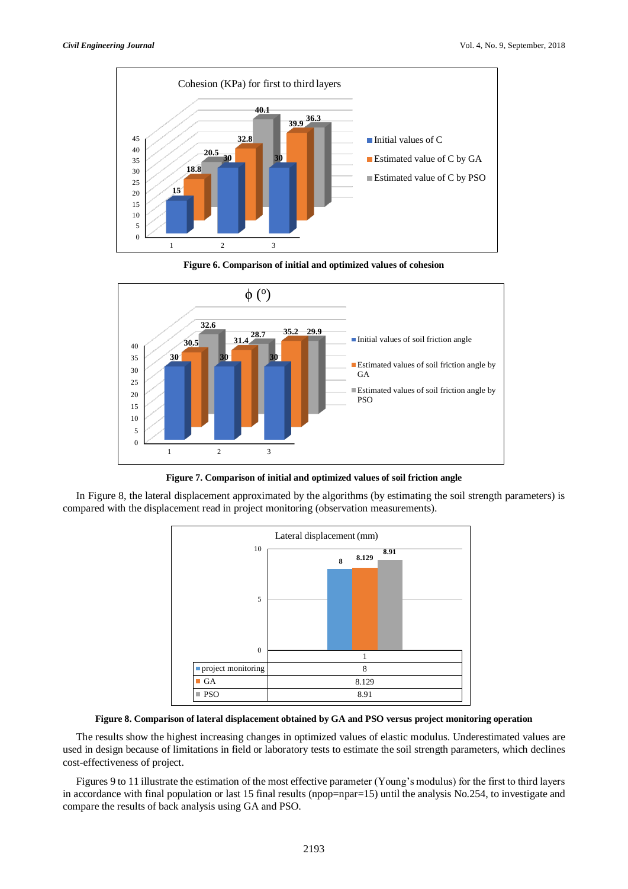

**Figure 6. Comparison of initial and optimized values of cohesion**



**Figure 7. Comparison of initial and optimized values of soil friction angle**

In Figure 8, the lateral displacement approximated by the algorithms (by estimating the soil strength parameters) is compared with the displacement read in project monitoring (observation measurements).



**Figure 8. Comparison of lateral displacement obtained by GA and PSO versus project monitoring operation**

The results show the highest increasing changes in optimized values of elastic modulus. Underestimated values are used in design because of limitations in field or laboratory tests to estimate the soil strength parameters, which declines cost-effectiveness of project.

Figures 9 to 11 illustrate the estimation of the most effective parameter (Young's modulus) for the first to third layers in accordance with final population or last 15 final results (npop=npar=15) until the analysis No.254, to investigate and compare the results of back analysis using GA and PSO.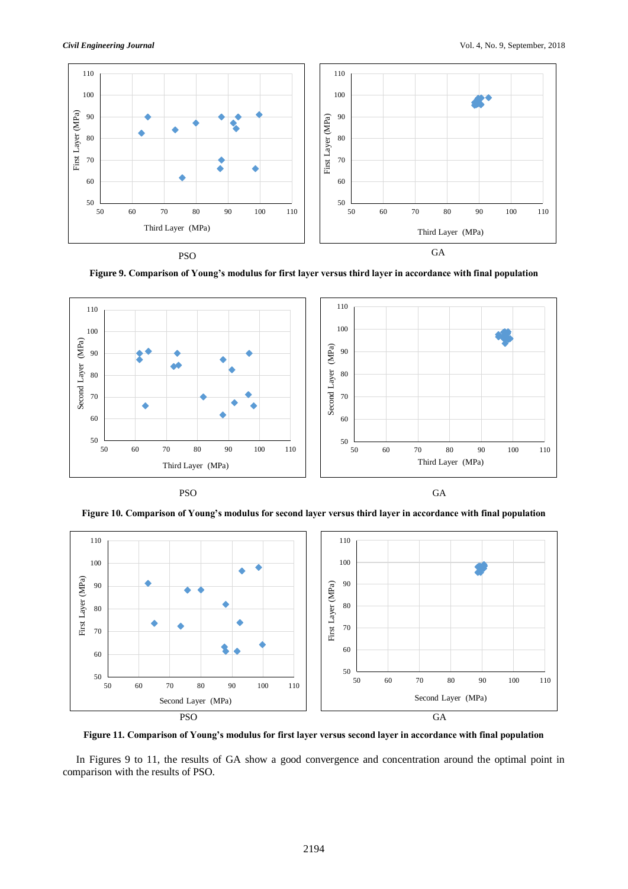

**Figure 9. Comparison of Young's modulus for first layer versus third layer in accordance with final population**



PSO GA

**Figure 10. Comparison of Young's modulus for second layer versus third layer in accordance with final population**



**Figure 11. Comparison of Young's modulus for first layer versus second layer in accordance with final population**

In Figures 9 to 11, the results of GA show a good convergence and concentration around the optimal point in comparison with the results of PSO.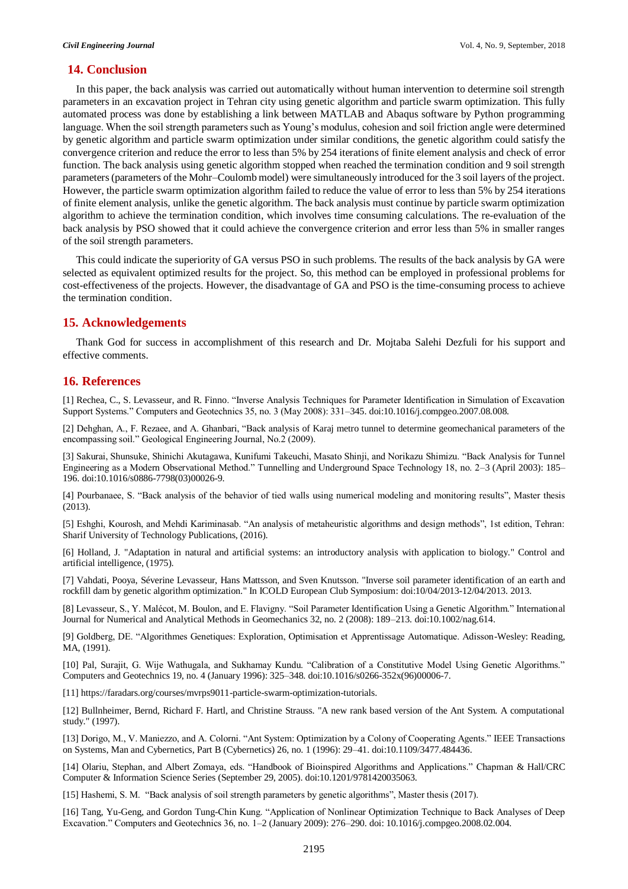## **14. Conclusion**

In this paper, the back analysis was carried out automatically without human intervention to determine soil strength parameters in an excavation project in Tehran city using genetic algorithm and particle swarm optimization. This fully automated process was done by establishing a link between MATLAB and Abaqus software by Python programming language. When the soil strength parameters such as Young's modulus, cohesion and soil friction angle were determined by genetic algorithm and particle swarm optimization under similar conditions, the genetic algorithm could satisfy the convergence criterion and reduce the error to less than 5% by 254 iterations of finite element analysis and check of error function. The back analysis using genetic algorithm stopped when reached the termination condition and 9 soil strength parameters(parameters of the Mohr–Coulomb model) were simultaneously introduced for the 3 soil layers of the project. However, the particle swarm optimization algorithm failed to reduce the value of error to less than 5% by 254 iterations of finite element analysis, unlike the genetic algorithm. The back analysis must continue by particle swarm optimization algorithm to achieve the termination condition, which involves time consuming calculations. The re-evaluation of the back analysis by PSO showed that it could achieve the convergence criterion and error less than 5% in smaller ranges of the soil strength parameters.

This could indicate the superiority of GA versus PSO in such problems. The results of the back analysis by GA were selected as equivalent optimized results for the project. So, this method can be employed in professional problems for cost-effectiveness of the projects. However, the disadvantage of GA and PSO is the time-consuming process to achieve the termination condition.

# **15. Acknowledgements**

Thank God for success in accomplishment of this research and Dr. Mojtaba Salehi Dezfuli for his support and effective comments.

# **16. References**

[1] Rechea, C., S. Levasseur, and R. Finno. "Inverse Analysis Techniques for Parameter Identification in Simulation of Excavation Support Systems." Computers and Geotechnics 35, no. 3 (May 2008): 331–345. doi:10.1016/j.compgeo.2007.08.008.

[2] Dehghan, A., F. Rezaee, and A. Ghanbari, "Back analysis of Karaj metro tunnel to determine geomechanical parameters of the encompassing soil." Geological Engineering Journal, No.2 (2009).

[3] Sakurai, Shunsuke, Shinichi Akutagawa, Kunifumi Takeuchi, Masato Shinji, and Norikazu Shimizu. "Back Analysis for Tunnel Engineering as a Modern Observational Method." Tunnelling and Underground Space Technology 18, no. 2–3 (April 2003): 185– 196. doi:10.1016/s0886-7798(03)00026-9.

[4] Pourbanaee, S. "Back analysis of the behavior of tied walls using numerical modeling and monitoring results", Master thesis (2013).

[5] Eshghi, Kourosh, and Mehdi Kariminasab. "An analysis of metaheuristic algorithms and design methods", 1st edition, Tehran: Sharif University of Technology Publications, (2016).

[6] Holland, J. "Adaptation in natural and artificial systems: an introductory analysis with application to biology." Control and artificial intelligence, (1975).

[7] Vahdati, Pooya, Séverine Levasseur, Hans Mattsson, and Sven Knutsson. "Inverse soil parameter identification of an earth and rockfill dam by genetic algorithm optimization." In ICOLD European Club Symposium: doi:10/04/2013-12/04/2013. 2013.

[8] Levasseur, S., Y. Malécot, M. Boulon, and E. Flavigny. "Soil Parameter Identification Using a Genetic Algorithm." International Journal for Numerical and Analytical Methods in Geomechanics 32, no. 2 (2008): 189–213. doi:10.1002/nag.614.

[9] Goldberg, DE. "Algorithmes Genetiques: Exploration, Optimisation et Apprentissage Automatique. Adisson-Wesley: Reading, MA, (1991).

[10] Pal, Surajit, G. Wije Wathugala, and Sukhamay Kundu. "Calibration of a Constitutive Model Using Genetic Algorithms." Computers and Geotechnics 19, no. 4 (January 1996): 325–348. doi:10.1016/s0266-352x(96)00006-7.

[11] https://faradars.org/courses/mvrps9011-particle-swarm-optimization-tutorials.

[12] Bullnheimer, Bernd, Richard F. Hartl, and Christine Strauss. "A new rank based version of the Ant System. A computational study." (1997).

[13] Dorigo, M., V. Maniezzo, and A. Colorni. "Ant System: Optimization by a Colony of Cooperating Agents." IEEE Transactions on Systems, Man and Cybernetics, Part B (Cybernetics) 26, no. 1 (1996): 29–41. doi:10.1109/3477.484436.

[14] Olariu, Stephan, and Albert Zomaya, eds. "Handbook of Bioinspired Algorithms and Applications." Chapman & Hall/CRC Computer & Information Science Series (September 29, 2005). doi:10.1201/9781420035063.

[15] Hashemi, S. M. "Back analysis of soil strength parameters by genetic algorithms", Master thesis (2017).

[16] Tang, Yu-Geng, and Gordon Tung-Chin Kung. "Application of Nonlinear Optimization Technique to Back Analyses of Deep Excavation." Computers and Geotechnics 36, no. 1–2 (January 2009): 276–290. doi: 10.1016/j.compgeo.2008.02.004.